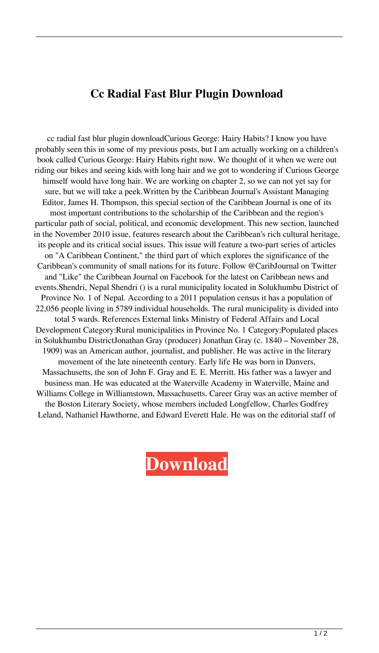## **Cc Radial Fast Blur Plugin Download**

cc radial fast blur plugin downloadCurious George: Hairy Habits? I know you have probably seen this in some of my previous posts, but I am actually working on a children's book called Curious George: Hairy Habits right now. We thought of it when we were out riding our bikes and seeing kids with long hair and we got to wondering if Curious George himself would have long hair. We are working on chapter 2, so we can not yet say for sure, but we will take a peek.Written by the Caribbean Journal's Assistant Managing Editor, James H. Thompson, this special section of the Caribbean Journal is one of its most important contributions to the scholarship of the Caribbean and the region's particular path of social, political, and economic development. This new section, launched in the November 2010 issue, features research about the Caribbean's rich cultural heritage, its people and its critical social issues. This issue will feature a two-part series of articles on "A Caribbean Continent," the third part of which explores the significance of the Caribbean's community of small nations for its future. Follow @CaribJournal on Twitter and "Like" the Caribbean Journal on Facebook for the latest on Caribbean news and events.Shendri, Nepal Shendri () is a rural municipality located in Solukhumbu District of Province No. 1 of Nepal. According to a 2011 population census it has a population of 22,056 people living in 5789 individual households. The rural municipality is divided into total 5 wards. References External links Ministry of Federal Affairs and Local Development Category:Rural municipalities in Province No. 1 Category:Populated places in Solukhumbu DistrictJonathan Gray (producer) Jonathan Gray (c. 1840 – November 28, 1909) was an American author, journalist, and publisher. He was active in the literary movement of the late nineteenth century. Early life He was born in Danvers, Massachusetts, the son of John F. Gray and E. E. Merritt. His father was a lawyer and business man. He was educated at the Waterville Academy in Waterville, Maine and Williams College in Williamstown, Massachusetts. Career Gray was an active member of the Boston Literary Society, whose members included Longfellow, Charles Godfrey Leland, Nathaniel Hawthorne, and Edward Everett Hale. He was on the editorial staff of

**[Download](http://evacdir.com/woman.compositing?ZG93bmxvYWR8OHlvWkhnMGZId3hOalV5TnpRd09EWTJmSHd5TlRjMGZId29UU2tnY21WaFpDMWliRzluSUZ0R1lYTjBJRWRGVGww=Y2MgcmFkaWFsIGZhc3QgYmx1ciBwbHVnaW4gZG93bmxvYWQY2M/englishness/glorifies/caliph/morrison.objectieve)**